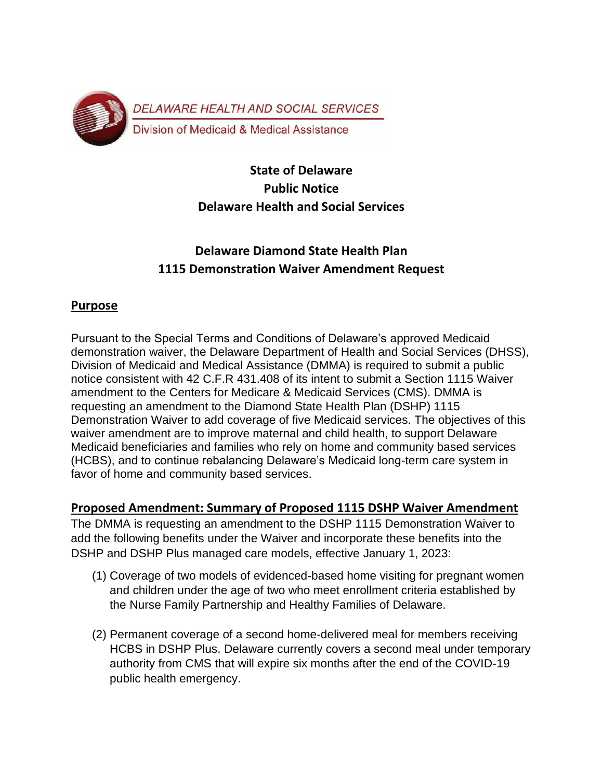

## **State of Delaware Public Notice Delaware Health and Social Services**

# **Delaware Diamond State Health Plan 1115 Demonstration Waiver Amendment Request**

## **Purpose**

Pursuant to the Special Terms and Conditions of Delaware's approved Medicaid demonstration waiver, the Delaware Department of Health and Social Services (DHSS), Division of Medicaid and Medical Assistance (DMMA) is required to submit a public notice consistent with 42 C.F.R 431.408 of its intent to submit a Section 1115 Waiver amendment to the Centers for Medicare & Medicaid Services (CMS). DMMA is requesting an amendment to the Diamond State Health Plan (DSHP) 1115 Demonstration Waiver to add coverage of five Medicaid services. The objectives of this waiver amendment are to improve maternal and child health, to support Delaware Medicaid beneficiaries and families who rely on home and community based services (HCBS), and to continue rebalancing Delaware's Medicaid long-term care system in favor of home and community based services.

## **Proposed Amendment: Summary of Proposed 1115 DSHP Waiver Amendment**

The DMMA is requesting an amendment to the DSHP 1115 Demonstration Waiver to add the following benefits under the Waiver and incorporate these benefits into the DSHP and DSHP Plus managed care models, effective January 1, 2023:

- (1) Coverage of two models of evidenced-based home visiting for pregnant women and children under the age of two who meet enrollment criteria established by the Nurse Family Partnership and Healthy Families of Delaware.
- (2) Permanent coverage of a second home-delivered meal for members receiving HCBS in DSHP Plus. Delaware currently covers a second meal under temporary authority from CMS that will expire six months after the end of the COVID-19 public health emergency.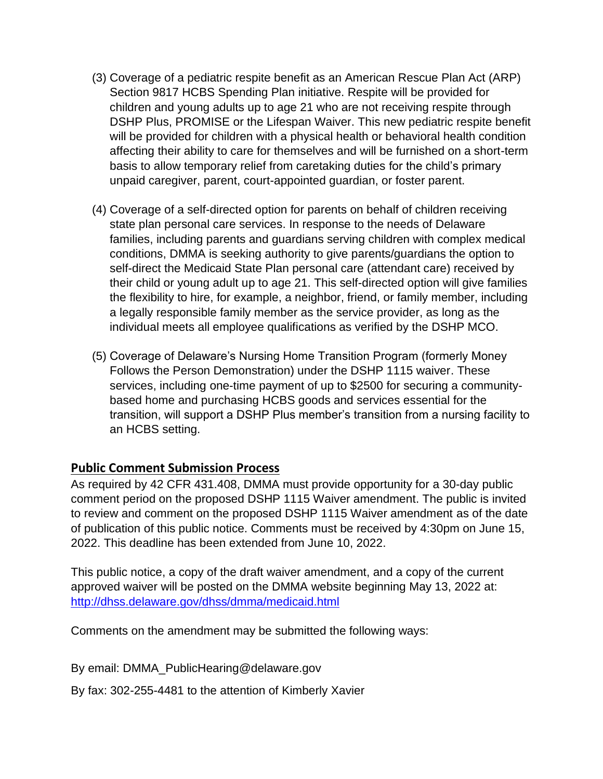- (3) Coverage of a pediatric respite benefit as an American Rescue Plan Act (ARP) Section 9817 HCBS Spending Plan initiative. Respite will be provided for children and young adults up to age 21 who are not receiving respite through DSHP Plus, PROMISE or the Lifespan Waiver. This new pediatric respite benefit will be provided for children with a physical health or behavioral health condition affecting their ability to care for themselves and will be furnished on a short-term basis to allow temporary relief from caretaking duties for the child's primary unpaid caregiver, parent, court-appointed guardian, or foster parent.
- (4) Coverage of a self-directed option for parents on behalf of children receiving state plan personal care services. In response to the needs of Delaware families, including parents and guardians serving children with complex medical conditions, DMMA is seeking authority to give parents/guardians the option to self-direct the Medicaid State Plan personal care (attendant care) received by their child or young adult up to age 21. This self-directed option will give families the flexibility to hire, for example, a neighbor, friend, or family member, including a legally responsible family member as the service provider, as long as the individual meets all employee qualifications as verified by the DSHP MCO.
- (5) Coverage of Delaware's Nursing Home Transition Program (formerly Money Follows the Person Demonstration) under the DSHP 1115 waiver. These services, including one-time payment of up to \$2500 for securing a communitybased home and purchasing HCBS goods and services essential for the transition, will support a DSHP Plus member's transition from a nursing facility to an HCBS setting.

## **Public Comment Submission Process**

As required by 42 CFR 431.408, DMMA must provide opportunity for a 30-day public comment period on the proposed DSHP 1115 Waiver amendment. The public is invited to review and comment on the proposed DSHP 1115 Waiver amendment as of the date of publication of this public notice. Comments must be received by 4:30pm on June 15, 2022. This deadline has been extended from June 10, 2022.

This public notice, a copy of the draft waiver amendment, and a copy of the current approved waiver will be posted on the DMMA website beginning May 13, 2022 at: <http://dhss.delaware.gov/dhss/dmma/medicaid.html>

Comments on the amendment may be submitted the following ways:

By email: DMMA\_PublicHearing@delaware.gov

By fax: 302-255-4481 to the attention of Kimberly Xavier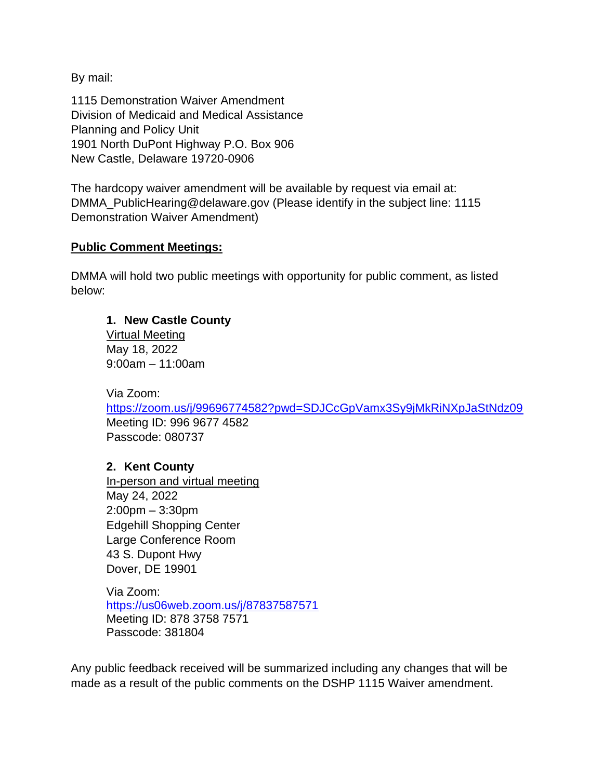By mail:

1115 Demonstration Waiver Amendment Division of Medicaid and Medical Assistance Planning and Policy Unit 1901 North DuPont Highway P.O. Box 906 New Castle, Delaware 19720-0906

The hardcopy waiver amendment will be available by request via email at: DMMA\_PublicHearing@delaware.gov (Please identify in the subject line: 1115 Demonstration Waiver Amendment)

#### **Public Comment Meetings:**

DMMA will hold two public meetings with opportunity for public comment, as listed below:

#### **1. New Castle County**

Virtual Meeting May 18, 2022 9:00am – 11:00am

Via Zoom:

<https://zoom.us/j/99696774582?pwd=SDJCcGpVamx3Sy9jMkRiNXpJaStNdz09> Meeting ID: 996 9677 4582 Passcode: 080737

#### **2. Kent County**

In-person and virtual meeting May 24, 2022 2:00pm – 3:30pm Edgehill Shopping Center Large Conference Room 43 S. Dupont Hwy Dover, DE 19901

Via Zoom: <https://us06web.zoom.us/j/87837587571> Meeting ID: 878 3758 7571 Passcode: 381804

Any public feedback received will be summarized including any changes that will be made as a result of the public comments on the DSHP 1115 Waiver amendment.